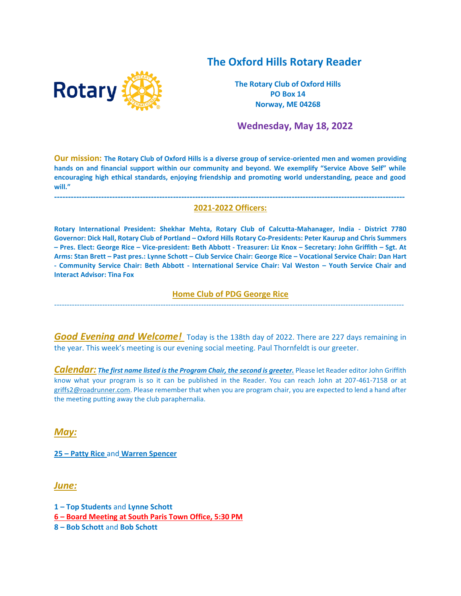# **The Oxford Hills Rotary Reader**



**The Rotary Club of Oxford Hills PO Box 14 Norway, ME 04268**

 **Wednesday, May 18, 2022**

**Our mission: The Rotary Club of Oxford Hills is a diverse group of service-oriented men and women providing hands on and financial support within our community and beyond. We exemplify "Service Above Self" while encouraging high ethical standards, enjoying friendship and promoting world understanding, peace and good will."**

#### **------------------------------------------------------------------------------------------------------------------------------- 2021-2022 Officers:**

**Rotary International President: Shekhar Mehta, Rotary Club of Calcutta-Mahanager, India - District 7780 Governor: Dick Hall, Rotary Club of Portland – Oxford Hills Rotary Co-Presidents: Peter Kaurup and Chris Summers – Pres. Elect: George Rice – Vice-president: Beth Abbott - Treasurer: Liz Knox – Secretary: John Griffith – Sgt. At Arms: Stan Brett – Past pres.: Lynne Schott – Club Service Chair: George Rice – Vocational Service Chair: Dan Hart - Community Service Chair: Beth Abbott - International Service Chair: Val Weston – Youth Service Chair and Interact Advisor: Tina Fox**

### **Home Club of PDG George Rice**  ------------------------------------------------------------------------------------------------------------------------------------------

**Good Evening and Welcome!** Today is the 138th day of 2022. There are 227 days remaining in the year. This week's meeting is our evening social meeting. Paul Thornfeldt is our greeter.

*Calendar: The first name listed is the Program Chair, the second is greeter.* Please let Reader editor John Griffith know what your program is so it can be published in the Reader. You can reach John at 207-461-7158 or at [griffs2@roadrunner.com.](mailto:griffs2@roadrunner.com) Please remember that when you are program chair, you are expected to lend a hand after the meeting putting away the club paraphernalia.

*May:*

**25 – Patty Rice** and **Warren Spencer**

*June:*

**1 – Top Students** and **Lynne Schott**

**6 – Board Meeting at South Paris Town Office, 5:30 PM**

**8 – Bob Schott** and **Bob Schott**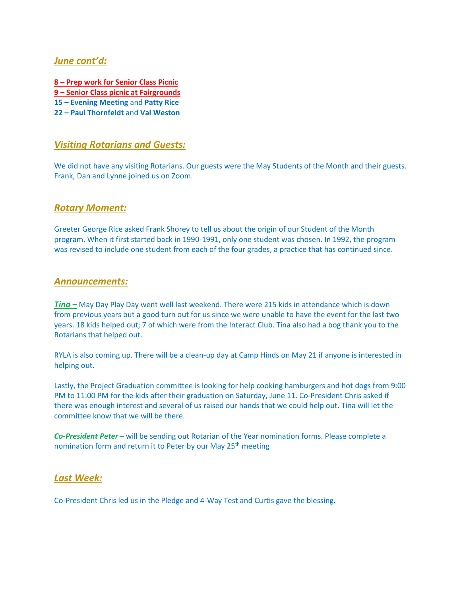### *June cont'd:*

**– Prep work for Senior Class Picnic – Senior Class picnic at Fairgrounds – Evening Meeting** and **Patty Rice – Paul Thornfeldt** and **Val Weston**

### *Visiting Rotarians and Guests:*

We did not have any visiting Rotarians. Our guests were the May Students of the Month and their guests. Frank, Dan and Lynne joined us on Zoom.

### *Rotary Moment:*

Greeter George Rice asked Frank Shorey to tell us about the origin of our Student of the Month program. When it first started back in 1990-1991, only one student was chosen. In 1992, the program was revised to include one student from each of the four grades, a practice that has continued since.

### *Announcements:*

*Tina –* May Day Play Day went well last weekend. There were 215 kids in attendance which is down from previous years but a good turn out for us since we were unable to have the event for the last two years. 18 kids helped out; 7 of which were from the Interact Club. Tina also had a bog thank you to the Rotarians that helped out.

RYLA is also coming up. There will be a clean-up day at Camp Hinds on May 21 if anyone is interested in helping out.

Lastly, the Project Graduation committee is looking for help cooking hamburgers and hot dogs from 9:00 PM to 11:00 PM for the kids after their graduation on Saturday, June 11. Co-President Chris asked if there was enough interest and several of us raised our hands that we could help out. Tina will let the committee know that we will be there.

*Co-President Peter –* will be sending out Rotarian of the Year nomination forms. Please complete a nomination form and return it to Peter by our May 25<sup>th</sup> meeting

### *Last Week:*

Co-President Chris led us in the Pledge and 4-Way Test and Curtis gave the blessing.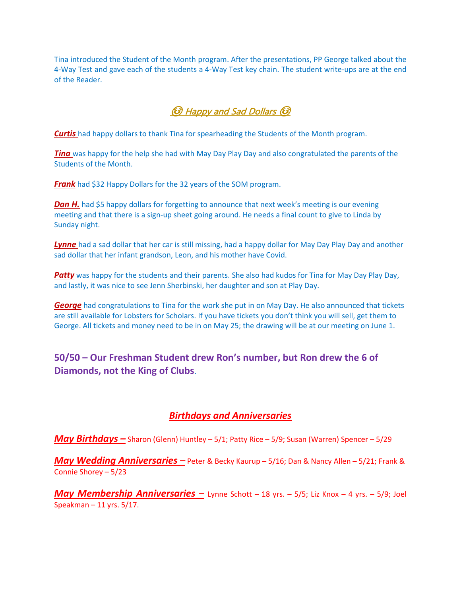Tina introduced the Student of the Month program. After the presentations, PP George talked about the 4-Way Test and gave each of the students a 4-Way Test key chain. The student write-ups are at the end of the Reader.

# ☺ Happy and Sad Dollars ☺

*Curtis* had happy dollars to thank Tina for spearheading the Students of the Month program.

*Ting* was happy for the help she had with May Day Play Day and also congratulated the parents of the Students of the Month.

*Frank* had \$32 Happy Dollars for the 32 years of the SOM program.

**Dan H.** had \$5 happy dollars for forgetting to announce that next week's meeting is our evening meeting and that there is a sign-up sheet going around. He needs a final count to give to Linda by Sunday night.

**Lynne** had a sad dollar that her car is still missing, had a happy dollar for May Day Play Day and another sad dollar that her infant grandson, Leon, and his mother have Covid.

**Patty** was happy for the students and their parents. She also had kudos for Tina for May Day Play Day, and lastly, it was nice to see Jenn Sherbinski, her daughter and son at Play Day.

*George* had congratulations to Tina for the work she put in on May Day. He also announced that tickets are still available for Lobsters for Scholars. If you have tickets you don't think you will sell, get them to George. All tickets and money need to be in on May 25; the drawing will be at our meeting on June 1.

## **50/50 – Our Freshman Student drew Ron's number, but Ron drew the 6 of Diamonds, not the King of Clubs**.

# *Birthdays and Anniversaries*

*May Birthdays –* Sharon (Glenn) Huntley – 5/1; Patty Rice – 5/9; Susan (Warren) Spencer – 5/29

*May Wedding Anniversaries –* Peter & Becky Kaurup – 5/16; Dan & Nancy Allen – 5/21; Frank & Connie Shorey – 5/23

*May Membership Anniversaries –* Lynne Schott – 18 yrs. – 5/5; Liz Knox – 4 yrs. – 5/9; Joel Speakman – 11 yrs. 5/17.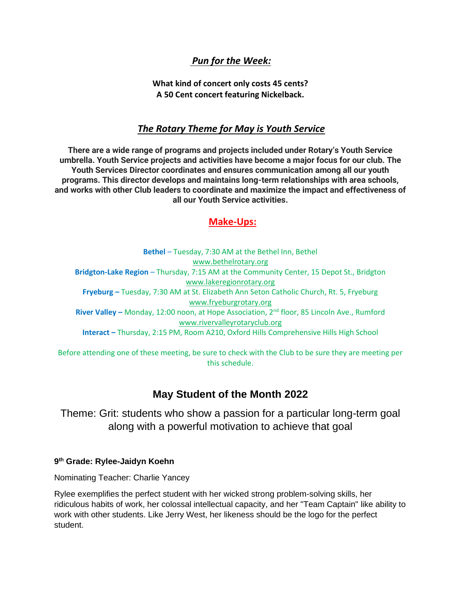# *Pun for the Week:*

**What kind of concert only costs 45 cents? A 50 Cent concert featuring Nickelback.**

### *The Rotary Theme for May is Youth Service*

**There are a wide range of programs and projects included under Rotary's Youth Service umbrella. Youth Service projects and activities have become a major focus for our club. The Youth Services Director coordinates and ensures communication among all our youth programs. This director develops and maintains long-term relationships with area schools, and works with other Club leaders to coordinate and maximize the impact and effectiveness of all our Youth Service activities.**

## **Make-Ups:**

**Bethel** – Tuesday, 7:30 AM at the Bethel Inn, Bethel [www.bethelrotary.org](http://www.bethelrotary.org/) **Bridgton-Lake Region** – Thursday, 7:15 AM at the Community Center, 15 Depot St., Bridgton [www.lakeregionrotary.org](http://www.lakeregionrotary.org/) **Fryeburg –** Tuesday, 7:30 AM at St. Elizabeth Ann Seton Catholic Church, Rt. 5, Fryeburg [www.fryeburgrotary.org](http://www.fryeburgrotary.org/) **River Valley –** Monday, 12:00 noon, at Hope Association, 2nd floor, 85 Lincoln Ave., Rumford [www.rivervalleyrotaryclub.org](http://www.rivervalleyrotaryclub.org/) **Interact –** Thursday, 2:15 PM, Room A210, Oxford Hills Comprehensive Hills High School

Before attending one of these meeting, be sure to check with the Club to be sure they are meeting per this schedule.

# **May Student of the Month 2022**

Theme: Grit: students who show a passion for a particular long-term goal along with a powerful motivation to achieve that goal

#### **9 th Grade: Rylee-Jaidyn Koehn**

Nominating Teacher: Charlie Yancey

Rylee exemplifies the perfect student with her wicked strong problem-solving skills, her ridiculous habits of work, her colossal intellectual capacity, and her "Team Captain" like ability to work with other students. Like Jerry West, her likeness should be the logo for the perfect student.